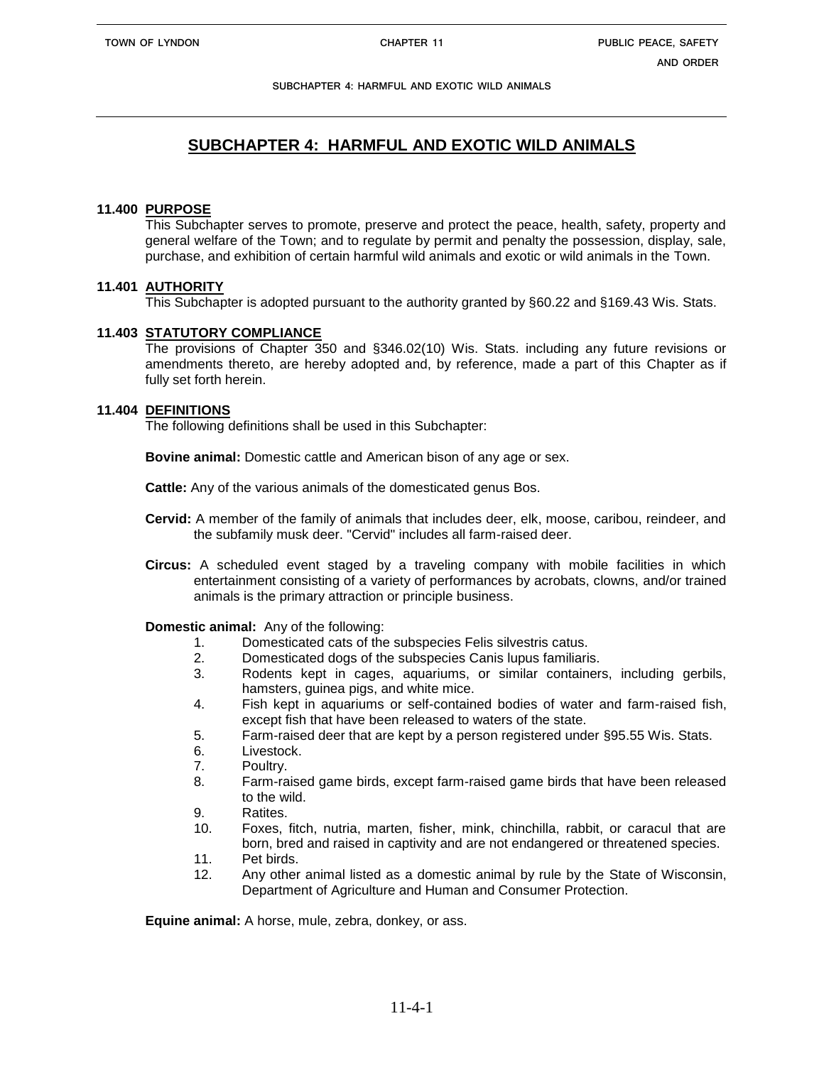# **SUBCHAPTER 4: HARMFUL AND EXOTIC WILD ANIMALS**

## **11.400 PURPOSE**

This Subchapter serves to promote, preserve and protect the peace, health, safety, property and general welfare of the Town; and to regulate by permit and penalty the possession, display, sale, purchase, and exhibition of certain harmful wild animals and exotic or wild animals in the Town.

## **11.401 AUTHORITY**

This Subchapter is adopted pursuant to the authority granted by §60.22 and §169.43 Wis. Stats.

## **11.403 STATUTORY COMPLIANCE**

The provisions of Chapter 350 and §346.02(10) Wis. Stats. including any future revisions or amendments thereto, are hereby adopted and, by reference, made a part of this Chapter as if fully set forth herein.

## **11.404 DEFINITIONS**

The following definitions shall be used in this Subchapter:

**Bovine animal:** Domestic cattle and American bison of any age or sex.

**Cattle:** Any of the various animals of the domesticated genus Bos.

- **Cervid:** A member of the family of animals that includes deer, elk, moose, caribou, reindeer, and the subfamily musk deer. "Cervid" includes all farm-raised deer.
- **Circus:** A scheduled event staged by a traveling company with mobile facilities in which entertainment consisting of a variety of performances by acrobats, clowns, and/or trained animals is the primary attraction or principle business.

#### **Domestic animal:** Any of the following:

- 1. Domesticated cats of the subspecies Felis silvestris catus.
- 2. Domesticated dogs of the subspecies Canis lupus familiaris.
- 3. Rodents kept in cages, aquariums, or similar containers, including gerbils, hamsters, guinea pigs, and white mice.
- 4. Fish kept in aquariums or self-contained bodies of water and farm-raised fish, except fish that have been released to waters of the state.
- 5. Farm-raised deer that are kept by a person registered under §95.55 Wis. Stats.
- 6. Livestock.
- 7. Poultry.
- 8. Farm-raised game birds, except farm-raised game birds that have been released to the wild.
- 9. Ratites.
- 10. Foxes, fitch, nutria, marten, fisher, mink, chinchilla, rabbit, or caracul that are born, bred and raised in captivity and are not endangered or threatened species.
- 11. Pet birds.
- 12. Any other animal listed as a domestic animal by rule by the State of Wisconsin, Department of Agriculture and Human and Consumer Protection.

**Equine animal:** A horse, mule, zebra, donkey, or ass.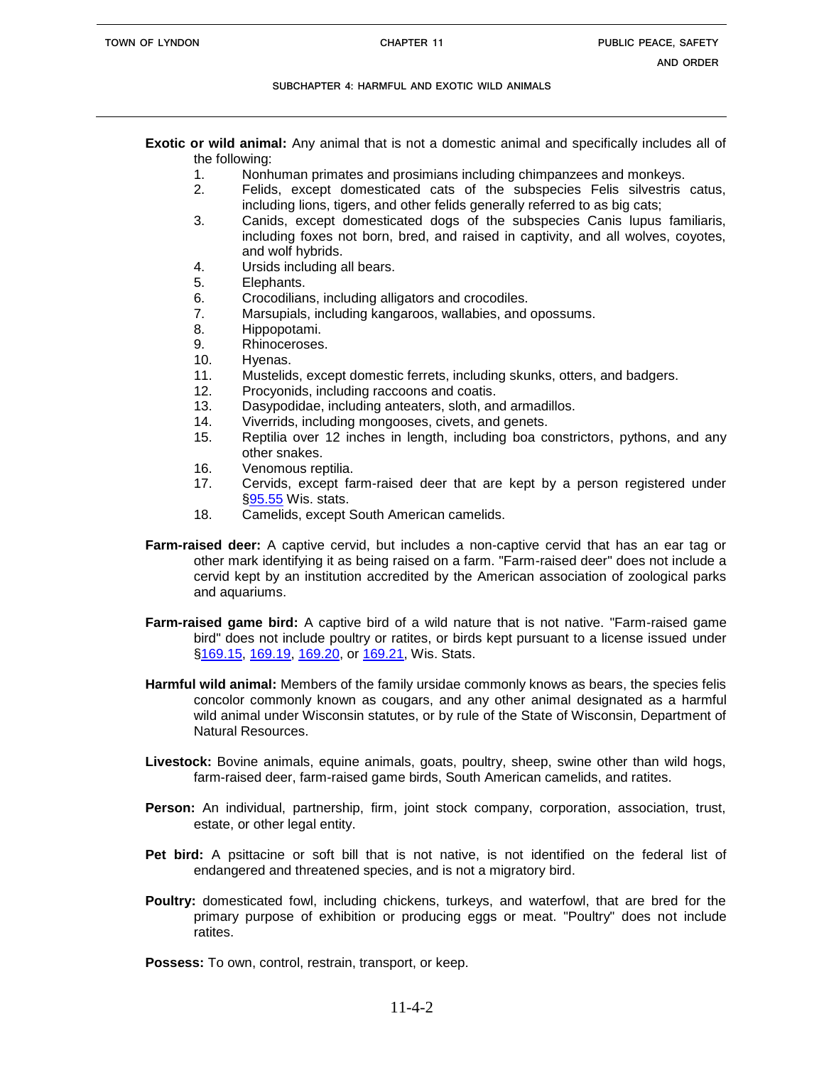**Exotic or wild animal:** Any animal that is not a domestic animal and specifically includes all of the following:

- 1. Nonhuman primates and prosimians including chimpanzees and monkeys.
- 2. Felids, except domesticated cats of the subspecies Felis silvestris catus, including lions, tigers, and other felids generally referred to as big cats;
- 3. Canids, except domesticated dogs of the subspecies Canis lupus familiaris, including foxes not born, bred, and raised in captivity, and all wolves, coyotes, and wolf hybrids.
- 4. Ursids including all bears.
- 5. Elephants.
- 6. Crocodilians, including alligators and crocodiles.
- 7. Marsupials, including kangaroos, wallabies, and opossums.
- 8. Hippopotami.
- 9. Rhinoceroses.
- 10. Hyenas.
- 11. Mustelids, except domestic ferrets, including skunks, otters, and badgers.
- 12. Procyonids, including raccoons and coatis.
- 13. Dasypodidae, including anteaters, sloth, and armadillos.
- 14. Viverrids, including mongooses, civets, and genets.
- 15. Reptilia over 12 inches in length, including boa constrictors, pythons, and any other snakes.
- 16. Venomous reptilia.
- 17. Cervids, except farm-raised deer that are kept by a person registered under [§95.55](http://nxt.legis.state.wi.us/link.asp?stats/95.55) Wis. stats.
- 18. Camelids, except South American camelids.
- **Farm-raised deer:** A captive cervid, but includes a non-captive cervid that has an ear tag or other mark identifying it as being raised on a farm. "Farm-raised deer" does not include a cervid kept by an institution accredited by the American association of zoological parks and aquariums.
- **Farm-raised game bird:** A captive bird of a wild nature that is not native. "Farm-raised game bird" does not include poultry or ratites, or birds kept pursuant to a license issued under [§169.15,](http://nxt.legis.state.wi.us/link.asp?stats/169.15) [169.19,](http://nxt.legis.state.wi.us/link.asp?stats/169.19) [169.20,](http://nxt.legis.state.wi.us/link.asp?stats/169.20) or [169.21,](http://nxt.legis.state.wi.us/link.asp?stats/169.21) Wis. Stats.
- **Harmful wild animal:** Members of the family ursidae commonly knows as bears, the species felis concolor commonly known as cougars, and any other animal designated as a harmful wild animal under Wisconsin statutes, or by rule of the State of Wisconsin, Department of Natural Resources.
- **Livestock:** Bovine animals, equine animals, goats, poultry, sheep, swine other than wild hogs, farm-raised deer, farm-raised game birds, South American camelids, and ratites.
- **Person:** An individual, partnership, firm, joint stock company, corporation, association, trust, estate, or other legal entity.
- **Pet bird:** A psittacine or soft bill that is not native, is not identified on the federal list of endangered and threatened species, and is not a migratory bird.
- **Poultry:** domesticated fowl, including chickens, turkeys, and waterfowl, that are bred for the primary purpose of exhibition or producing eggs or meat. "Poultry" does not include ratites.

**Possess:** To own, control, restrain, transport, or keep.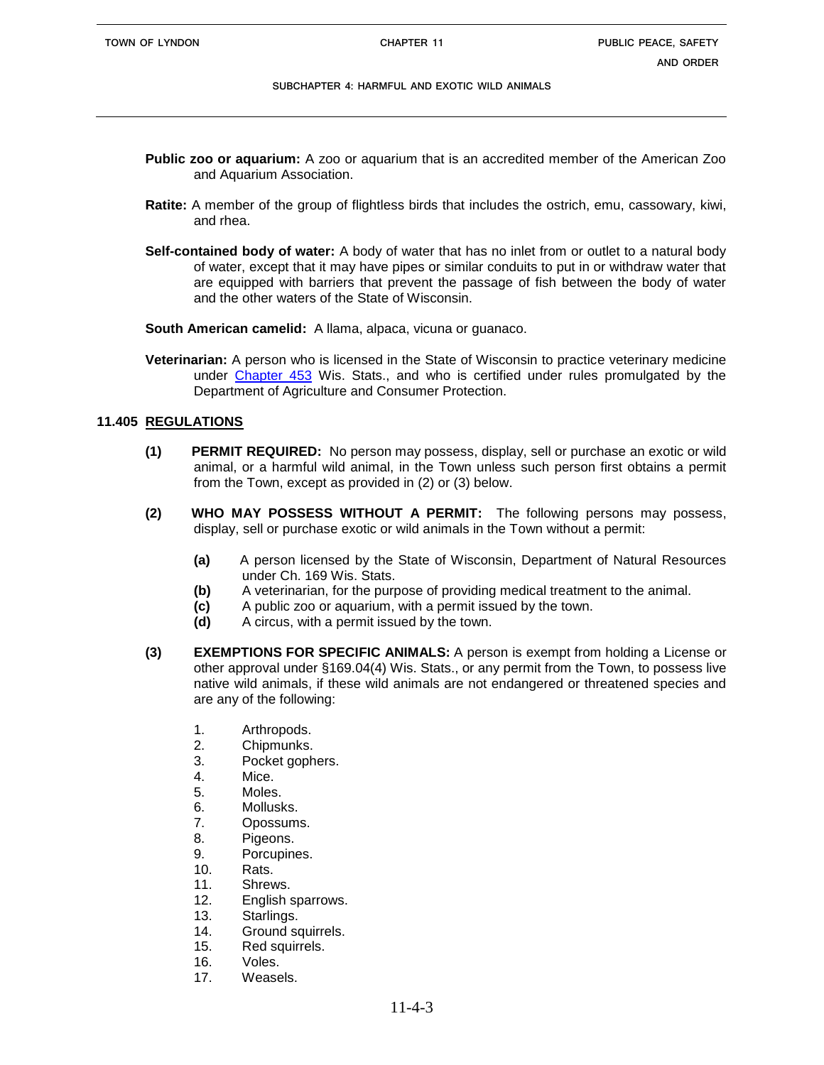- **Public zoo or aquarium:** A zoo or aquarium that is an accredited member of the American Zoo and Aquarium Association.
- **Ratite:** A member of the group of flightless birds that includes the ostrich, emu, cassowary, kiwi, and rhea.
- **Self-contained body of water:** A body of water that has no inlet from or outlet to a natural body of water, except that it may have pipes or similar conduits to put in or withdraw water that are equipped with barriers that prevent the passage of fish between the body of water and the other waters of the State of Wisconsin.

**South American camelid:** A llama, alpaca, vicuna or guanaco.

**Veterinarian:** A person who is licensed in the State of Wisconsin to practice veterinary medicine under [Chapter 453](http://nxt.legis.state.wi.us/link.asp?stats/ch.%20453) Wis. Stats., and who is certified under rules promulgated by the Department of Agriculture and Consumer Protection.

## **11.405 REGULATIONS**

- **(1) PERMIT REQUIRED:** No person may possess, display, sell or purchase an exotic or wild animal, or a harmful wild animal, in the Town unless such person first obtains a permit from the Town, except as provided in (2) or (3) below.
- **(2) WHO MAY POSSESS WITHOUT A PERMIT:** The following persons may possess, display, sell or purchase exotic or wild animals in the Town without a permit:
	- **(a)** A person licensed by the State of Wisconsin, Department of Natural Resources under Ch. 169 Wis. Stats.
	- **(b)** A veterinarian, for the purpose of providing medical treatment to the animal.
	- **(c)** A public zoo or aquarium, with a permit issued by the town.
	- **(d)** A circus, with a permit issued by the town.
- **(3) EXEMPTIONS FOR SPECIFIC ANIMALS:** A person is exempt from holding a License or other approval under §169.04(4) Wis. Stats., or any permit from the Town, to possess live native wild animals, if these wild animals are not endangered or threatened species and are any of the following:
	- 1. Arthropods.
	- 2. Chipmunks.
	- 3. Pocket gophers.
	- 4. Mice.
	- 5. Moles.
	- 6. Mollusks.
	- 7. Opossums.
	- 8. Pigeons.
	- 9. Porcupines.
	- 10. Rats.
	- 11. Shrews.
	- 12. English sparrows.
	- 13. Starlings.
	- 14. Ground squirrels.
	- 15. Red squirrels.
	- 16. Voles.
	- 17. Weasels.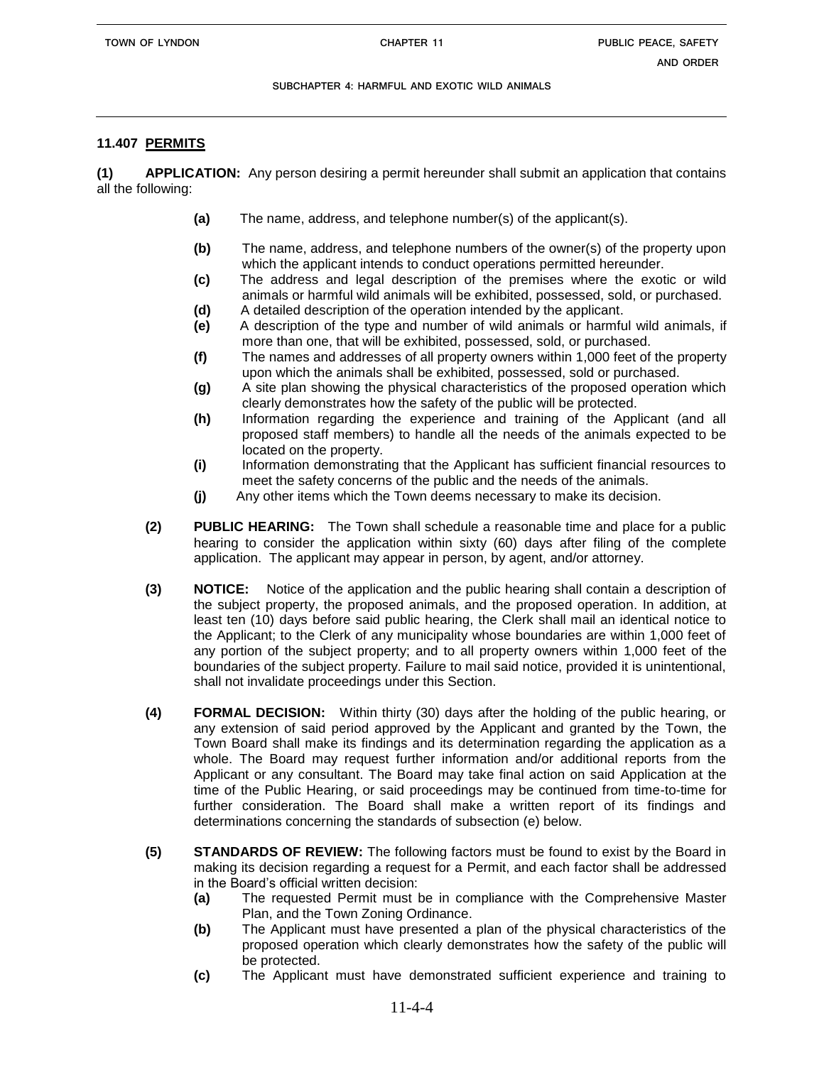## **11.407 PERMITS**

**(1) APPLICATION:** Any person desiring a permit hereunder shall submit an application that contains all the following:

- **(a)** The name, address, and telephone number(s) of the applicant(s).
- **(b)** The name, address, and telephone numbers of the owner(s) of the property upon which the applicant intends to conduct operations permitted hereunder.
- **(c)** The address and legal description of the premises where the exotic or wild animals or harmful wild animals will be exhibited, possessed, sold, or purchased.
- **(d)** A detailed description of the operation intended by the applicant.
- **(e)** A description of the type and number of wild animals or harmful wild animals, if more than one, that will be exhibited, possessed, sold, or purchased.
- **(f)** The names and addresses of all property owners within 1,000 feet of the property upon which the animals shall be exhibited, possessed, sold or purchased.
- **(g)** A site plan showing the physical characteristics of the proposed operation which clearly demonstrates how the safety of the public will be protected.
- **(h)** Information regarding the experience and training of the Applicant (and all proposed staff members) to handle all the needs of the animals expected to be located on the property.
- **(i)** Information demonstrating that the Applicant has sufficient financial resources to meet the safety concerns of the public and the needs of the animals.
- **(j)** Any other items which the Town deems necessary to make its decision.
- **(2) PUBLIC HEARING:** The Town shall schedule a reasonable time and place for a public hearing to consider the application within sixty (60) days after filing of the complete application. The applicant may appear in person, by agent, and/or attorney.
- **(3) NOTICE:** Notice of the application and the public hearing shall contain a description of the subject property, the proposed animals, and the proposed operation. In addition, at least ten (10) days before said public hearing, the Clerk shall mail an identical notice to the Applicant; to the Clerk of any municipality whose boundaries are within 1,000 feet of any portion of the subject property; and to all property owners within 1,000 feet of the boundaries of the subject property. Failure to mail said notice, provided it is unintentional, shall not invalidate proceedings under this Section.
- **(4) FORMAL DECISION:** Within thirty (30) days after the holding of the public hearing, or any extension of said period approved by the Applicant and granted by the Town, the Town Board shall make its findings and its determination regarding the application as a whole. The Board may request further information and/or additional reports from the Applicant or any consultant. The Board may take final action on said Application at the time of the Public Hearing, or said proceedings may be continued from time-to-time for further consideration. The Board shall make a written report of its findings and determinations concerning the standards of subsection (e) below.
- **(5) STANDARDS OF REVIEW:** The following factors must be found to exist by the Board in making its decision regarding a request for a Permit, and each factor shall be addressed in the Board's official written decision:
	- **(a)** The requested Permit must be in compliance with the Comprehensive Master Plan, and the Town Zoning Ordinance.
	- **(b)** The Applicant must have presented a plan of the physical characteristics of the proposed operation which clearly demonstrates how the safety of the public will be protected.
	- **(c)** The Applicant must have demonstrated sufficient experience and training to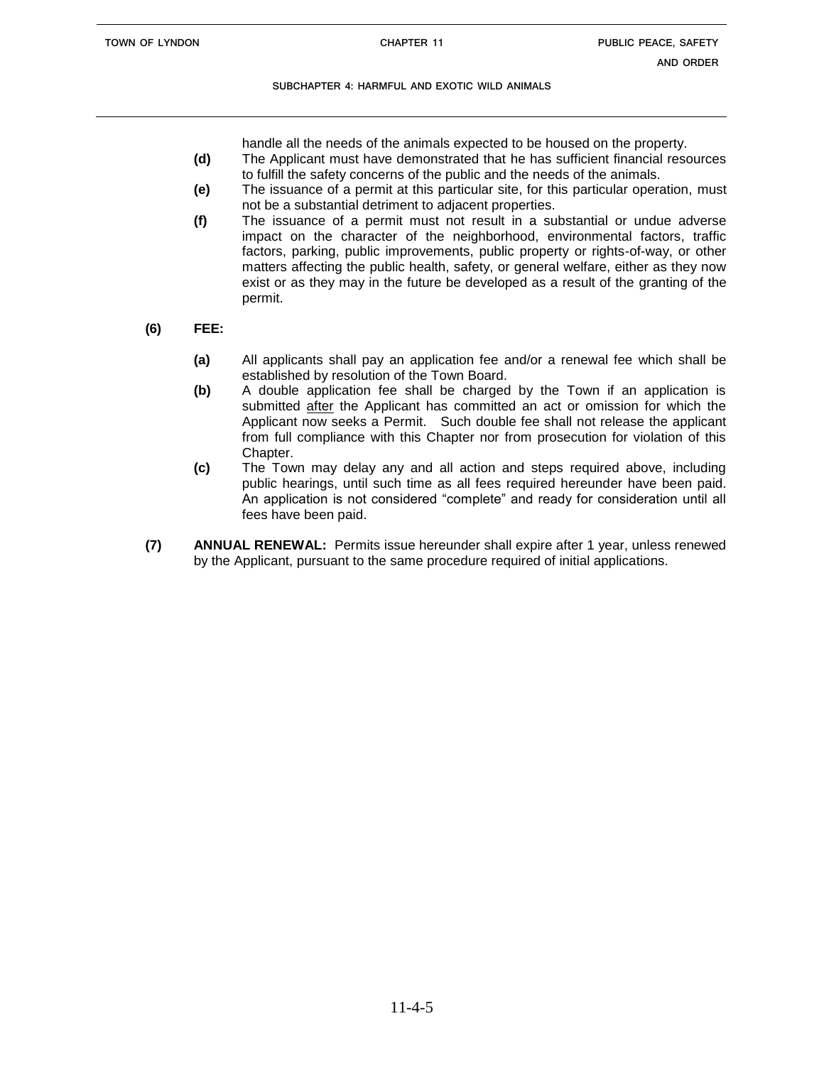handle all the needs of the animals expected to be housed on the property.

- **(d)** The Applicant must have demonstrated that he has sufficient financial resources to fulfill the safety concerns of the public and the needs of the animals.
- **(e)** The issuance of a permit at this particular site, for this particular operation, must not be a substantial detriment to adjacent properties.
- **(f)** The issuance of a permit must not result in a substantial or undue adverse impact on the character of the neighborhood, environmental factors, traffic factors, parking, public improvements, public property or rights-of-way, or other matters affecting the public health, safety, or general welfare, either as they now exist or as they may in the future be developed as a result of the granting of the permit.
- **(6) FEE:**
	- **(a)** All applicants shall pay an application fee and/or a renewal fee which shall be established by resolution of the Town Board.
	- **(b)** A double application fee shall be charged by the Town if an application is submitted after the Applicant has committed an act or omission for which the Applicant now seeks a Permit. Such double fee shall not release the applicant from full compliance with this Chapter nor from prosecution for violation of this Chapter.
	- **(c)** The Town may delay any and all action and steps required above, including public hearings, until such time as all fees required hereunder have been paid. An application is not considered "complete" and ready for consideration until all fees have been paid.
- **(7) ANNUAL RENEWAL:** Permits issue hereunder shall expire after 1 year, unless renewed by the Applicant, pursuant to the same procedure required of initial applications.